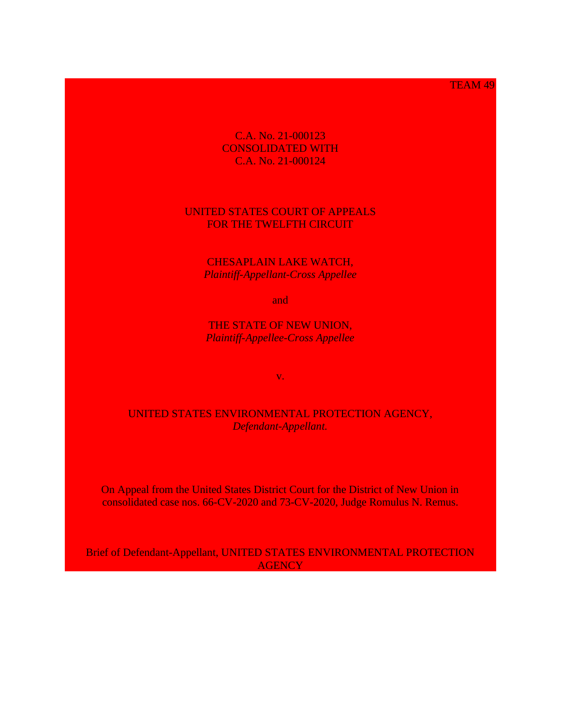TEAM 49

C.A. No. 21-000123 CONSOLIDATED WITH C.A. No. 21-000124

## UNITED STATES COURT OF APPEALS FOR THE TWELFTH CIRCUIT

CHESAPLAIN LAKE WATCH, *Plaintiff-Appellant-Cross Appellee*

and

THE STATE OF NEW UNION, *Plaintiff-Appellee-Cross Appellee*

v.

UNITED STATES ENVIRONMENTAL PROTECTION AGENCY, *Defendant-Appellant.*

On Appeal from the United States District Court for the District of New Union in consolidated case nos. 66-CV-2020 and 73-CV-2020, Judge Romulus N. Remus.

Brief of Defendant-Appellant, UNITED STATES ENVIRONMENTAL PROTECTION **AGENCY**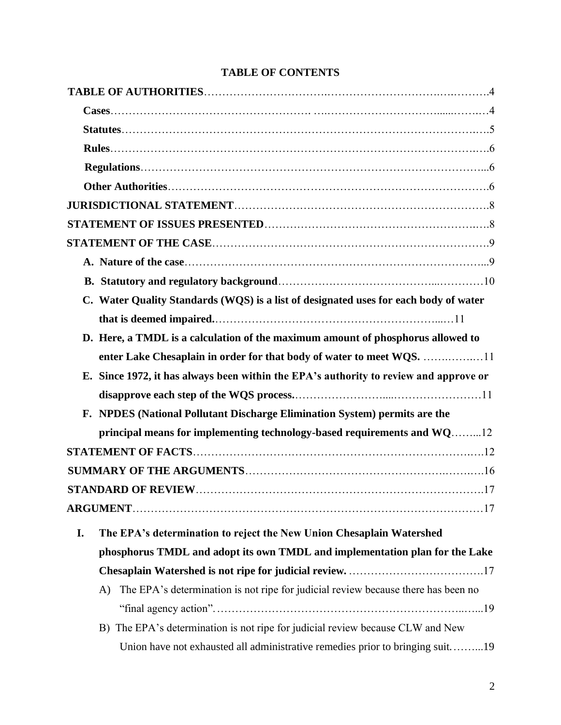|    | C. Water Quality Standards (WQS) is a list of designated uses for each body of water          |
|----|-----------------------------------------------------------------------------------------------|
|    |                                                                                               |
|    | D. Here, a TMDL is a calculation of the maximum amount of phosphorus allowed to               |
|    | enter Lake Chesaplain in order for that body of water to meet WQS. 11                         |
|    | E. Since 1972, it has always been within the EPA's authority to review and approve or         |
|    |                                                                                               |
|    | F. NPDES (National Pollutant Discharge Elimination System) permits are the                    |
|    | principal means for implementing technology-based requirements and WQ12                       |
|    |                                                                                               |
|    |                                                                                               |
|    |                                                                                               |
|    |                                                                                               |
| I. | The EPA's determination to reject the New Union Chesaplain Watershed                          |
|    | phosphorus TMDL and adopt its own TMDL and implementation plan for the Lake                   |
|    |                                                                                               |
|    | The EPA's determination is not ripe for judicial review because there has been no<br>$\bf{A}$ |
|    |                                                                                               |
|    | B) The EPA's determination is not ripe for judicial review because CLW and New                |
|    | Union have not exhausted all administrative remedies prior to bringing suit19                 |

## **TABLE OF CONTENTS**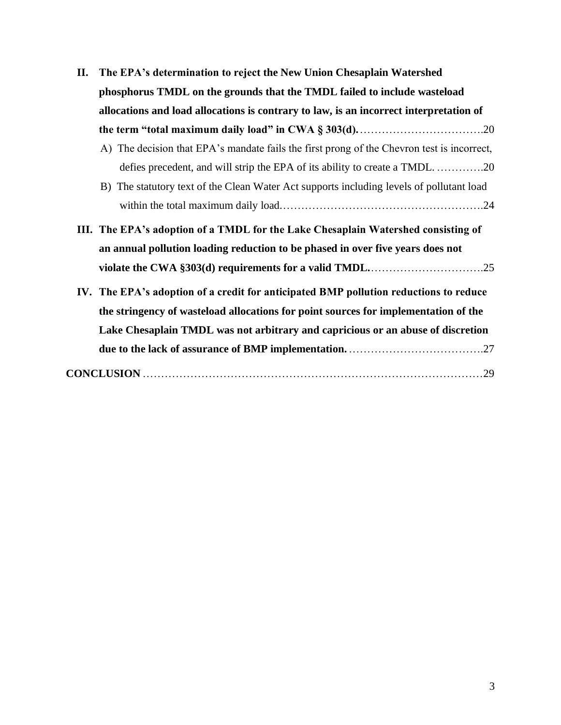| П. | The EPA's determination to reject the New Union Chesaplain Watershed                       |
|----|--------------------------------------------------------------------------------------------|
|    | phosphorus TMDL on the grounds that the TMDL failed to include wasteload                   |
|    | allocations and load allocations is contrary to law, is an incorrect interpretation of     |
|    |                                                                                            |
|    | A) The decision that EPA's mandate fails the first prong of the Chevron test is incorrect, |
|    | defies precedent, and will strip the EPA of its ability to create a TMDL20                 |
|    | B) The statutory text of the Clean Water Act supports including levels of pollutant load   |
|    |                                                                                            |
|    | III. The EPA's adoption of a TMDL for the Lake Chesaplain Watershed consisting of          |
|    | an annual pollution loading reduction to be phased in over five years does not             |
|    |                                                                                            |
|    | IV. The EPA's adoption of a credit for anticipated BMP pollution reductions to reduce      |
|    | the stringency of wasteload allocations for point sources for implementation of the        |
|    | Lake Chesaplain TMDL was not arbitrary and capricious or an abuse of discretion            |
|    |                                                                                            |
|    |                                                                                            |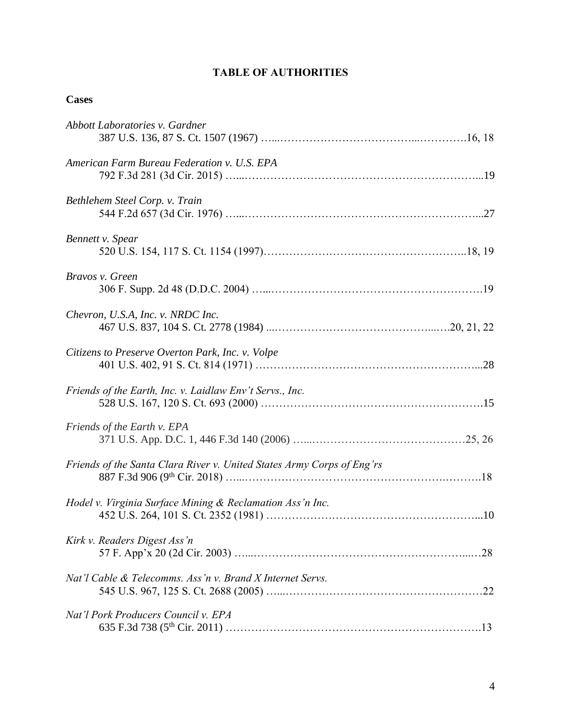## **TABLE OF AUTHORITIES**

## **Cases**

| Abbott Laboratories v. Gardner                                         |
|------------------------------------------------------------------------|
| American Farm Bureau Federation v. U.S. EPA                            |
| Bethlehem Steel Corp. v. Train                                         |
| Bennett v. Spear                                                       |
| Bravos v. Green                                                        |
| Chevron, U.S.A, Inc. v. NRDC Inc.                                      |
| Citizens to Preserve Overton Park, Inc. v. Volpe                       |
| Friends of the Earth, Inc. v. Laidlaw Env't Servs., Inc.               |
| Friends of the Earth v. EPA                                            |
| Friends of the Santa Clara River v. United States Army Corps of Eng'rs |
| Hodel v. Virginia Surface Mining & Reclamation Ass'n Inc.              |
| Kirk v. Readers Digest Ass'n                                           |
| Nat'l Cable & Telecomms. Ass'n v. Brand X Internet Servs.              |
| Nat'l Pork Producers Council v. EPA                                    |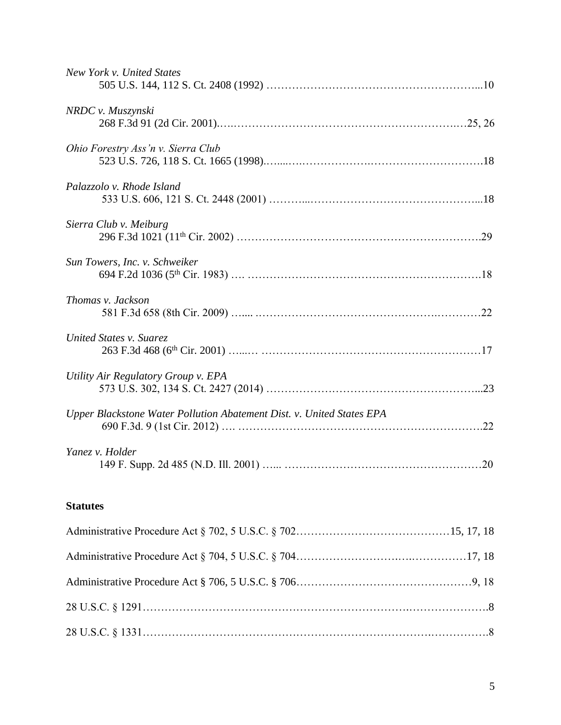# **Statutes**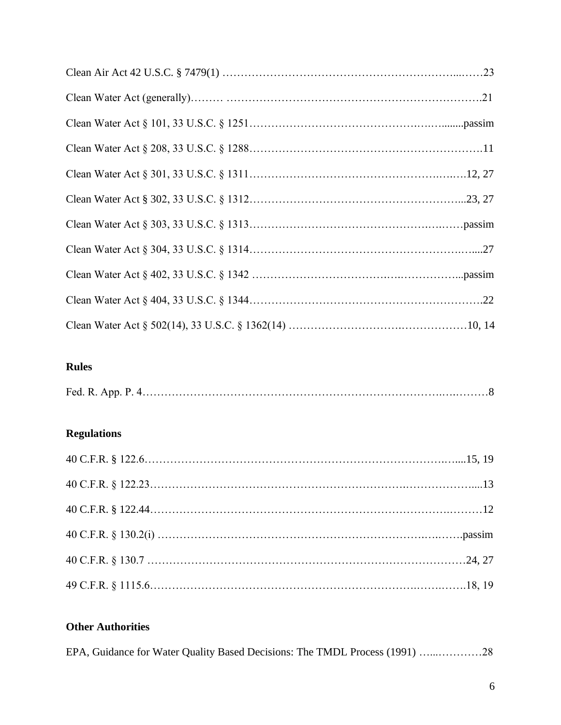# **Rules**

|--|

# **Regulations**

# **Other Authorities**

|  |  | EPA, Guidance for Water Quality Based Decisions: The TMDL Process (1991) 28 |  |
|--|--|-----------------------------------------------------------------------------|--|
|  |  |                                                                             |  |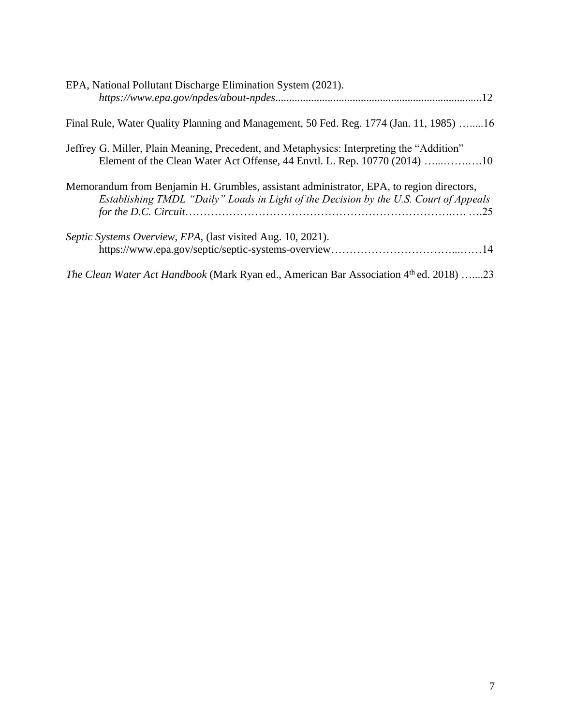| EPA, National Pollutant Discharge Elimination System (2021).                                                                                                                      |
|-----------------------------------------------------------------------------------------------------------------------------------------------------------------------------------|
| Final Rule, Water Quality Planning and Management, 50 Fed. Reg. 1774 (Jan. 11, 1985) 16                                                                                           |
| Jeffrey G. Miller, Plain Meaning, Precedent, and Metaphysics: Interpreting the "Addition"                                                                                         |
| Memorandum from Benjamin H. Grumbles, assistant administrator, EPA, to region directors,<br>Establishing TMDL "Daily" Loads in Light of the Decision by the U.S. Court of Appeals |
| Septic Systems Overview, EPA, (last visited Aug. 10, 2021).                                                                                                                       |
| <i>The Clean Water Act Handbook</i> (Mark Ryan ed., American Bar Association 4 <sup>th</sup> ed. 2018) 23                                                                         |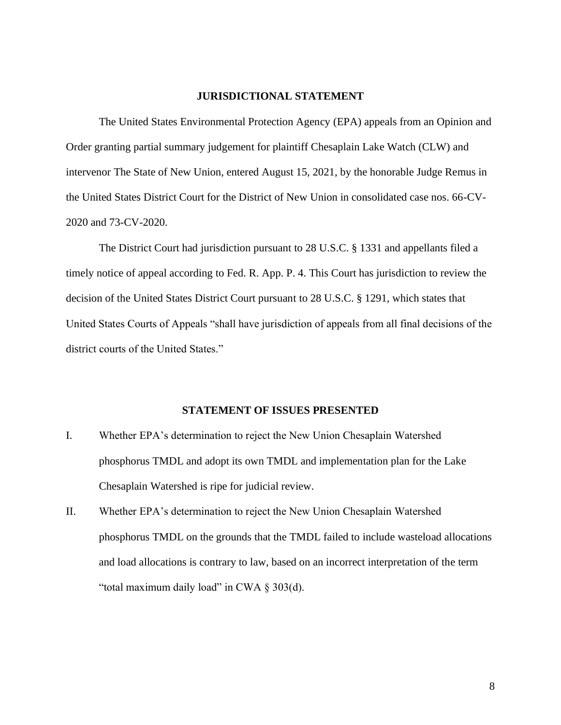### **JURISDICTIONAL STATEMENT**

The United States Environmental Protection Agency (EPA) appeals from an Opinion and Order granting partial summary judgement for plaintiff Chesaplain Lake Watch (CLW) and intervenor The State of New Union, entered August 15, 2021, by the honorable Judge Remus in the United States District Court for the District of New Union in consolidated case nos. 66-CV-2020 and 73-CV-2020.

The District Court had jurisdiction pursuant to 28 U.S.C. § 1331 and appellants filed a timely notice of appeal according to Fed. R. App. P. 4. This Court has jurisdiction to review the decision of the United States District Court pursuant to 28 U.S.C. § 1291, which states that United States Courts of Appeals "shall have jurisdiction of appeals from all final decisions of the district courts of the United States."

### **STATEMENT OF ISSUES PRESENTED**

- I. Whether EPA's determination to reject the New Union Chesaplain Watershed phosphorus TMDL and adopt its own TMDL and implementation plan for the Lake Chesaplain Watershed is ripe for judicial review.
- II. Whether EPA's determination to reject the New Union Chesaplain Watershed phosphorus TMDL on the grounds that the TMDL failed to include wasteload allocations and load allocations is contrary to law, based on an incorrect interpretation of the term "total maximum daily load" in CWA  $\S 303(d)$ .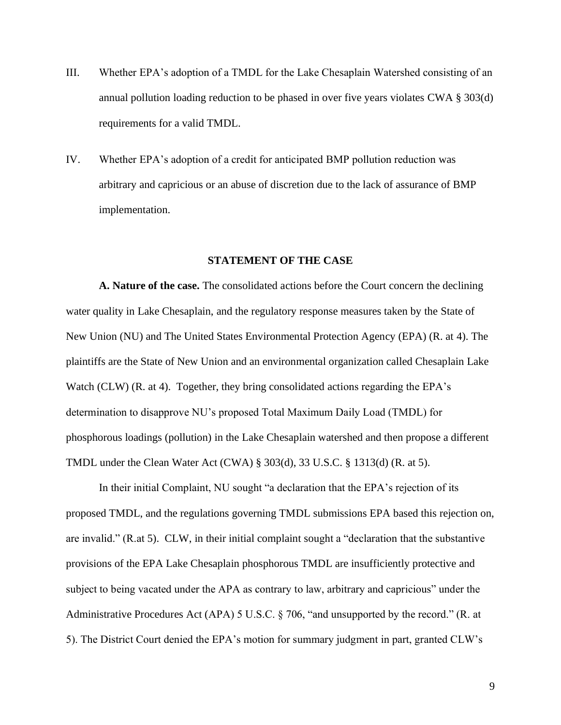- III. Whether EPA's adoption of a TMDL for the Lake Chesaplain Watershed consisting of an annual pollution loading reduction to be phased in over five years violates CWA § 303(d) requirements for a valid TMDL.
- IV. Whether EPA's adoption of a credit for anticipated BMP pollution reduction was arbitrary and capricious or an abuse of discretion due to the lack of assurance of BMP implementation.

#### **STATEMENT OF THE CASE**

**A. Nature of the case.** The consolidated actions before the Court concern the declining water quality in Lake Chesaplain, and the regulatory response measures taken by the State of New Union (NU) and The United States Environmental Protection Agency (EPA) (R. at 4). The plaintiffs are the State of New Union and an environmental organization called Chesaplain Lake Watch (CLW) (R. at 4). Together, they bring consolidated actions regarding the EPA's determination to disapprove NU's proposed Total Maximum Daily Load (TMDL) for phosphorous loadings (pollution) in the Lake Chesaplain watershed and then propose a different TMDL under the Clean Water Act (CWA) § 303(d), 33 U.S.C. § 1313(d) (R. at 5).

In their initial Complaint, NU sought "a declaration that the EPA's rejection of its proposed TMDL, and the regulations governing TMDL submissions EPA based this rejection on, are invalid." (R.at 5). CLW, in their initial complaint sought a "declaration that the substantive provisions of the EPA Lake Chesaplain phosphorous TMDL are insufficiently protective and subject to being vacated under the APA as contrary to law, arbitrary and capricious" under the Administrative Procedures Act (APA) 5 U.S.C. § 706, "and unsupported by the record." (R. at 5). The District Court denied the EPA's motion for summary judgment in part, granted CLW's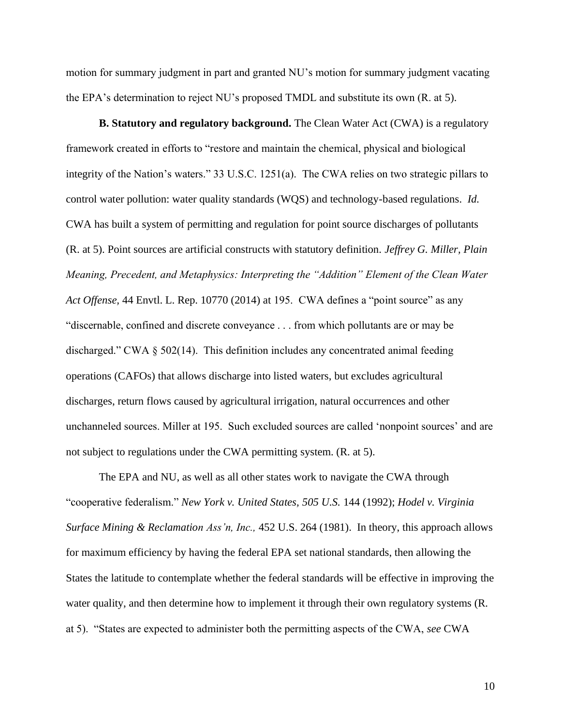motion for summary judgment in part and granted NU's motion for summary judgment vacating the EPA's determination to reject NU's proposed TMDL and substitute its own (R. at 5).

**B. Statutory and regulatory background.** The Clean Water Act (CWA) is a regulatory framework created in efforts to "restore and maintain the chemical, physical and biological integrity of the Nation's waters." 33 U.S.C. 1251(a). The CWA relies on two strategic pillars to control water pollution: water quality standards (WQS) and technology-based regulations. *Id.*  CWA has built a system of permitting and regulation for point source discharges of pollutants (R. at 5). Point sources are artificial constructs with statutory definition. *Jeffrey G. Miller, Plain Meaning, Precedent, and Metaphysics: Interpreting the "Addition" Element of the Clean Water Act Offense,* 44 Envtl. L. Rep. 10770 (2014) at 195. CWA defines a "point source" as any "discernable, confined and discrete conveyance . . . from which pollutants are or may be discharged." CWA § 502(14). This definition includes any concentrated animal feeding operations (CAFOs) that allows discharge into listed waters, but excludes agricultural discharges, return flows caused by agricultural irrigation, natural occurrences and other unchanneled sources. Miller at 195. Such excluded sources are called 'nonpoint sources' and are not subject to regulations under the CWA permitting system. (R. at 5).

The EPA and NU, as well as all other states work to navigate the CWA through "cooperative federalism." *New York v. United States, 505 U.S.* 144 (1992); *Hodel v. Virginia Surface Mining & Reclamation Ass'n, Inc.,* 452 U.S. 264 (1981). In theory, this approach allows for maximum efficiency by having the federal EPA set national standards, then allowing the States the latitude to contemplate whether the federal standards will be effective in improving the water quality, and then determine how to implement it through their own regulatory systems (R. at 5). "States are expected to administer both the permitting aspects of the CWA, *see* CWA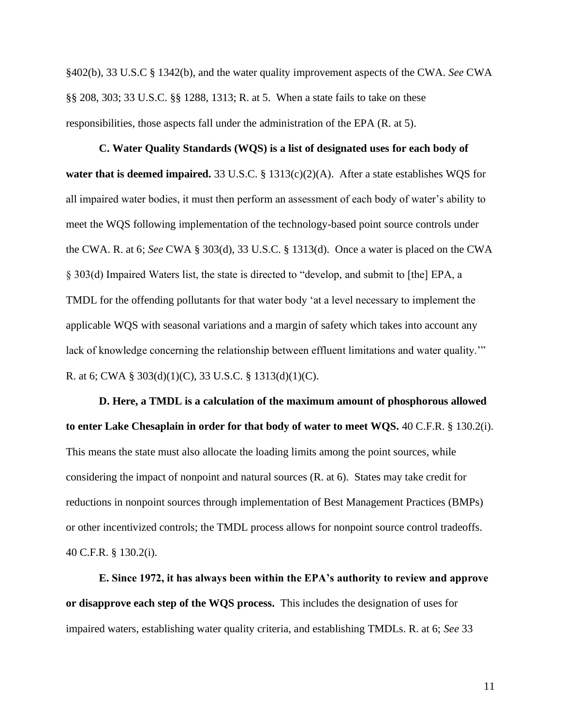§402(b), 33 U.S.C § 1342(b), and the water quality improvement aspects of the CWA. *See* CWA §§ 208, 303; 33 U.S.C. §§ 1288, 1313; R. at 5. When a state fails to take on these responsibilities, those aspects fall under the administration of the EPA (R. at 5).

**C. Water Quality Standards (WQS) is a list of designated uses for each body of water that is deemed impaired.** 33 U.S.C. § 1313(c)(2)(A). After a state establishes WQS for all impaired water bodies, it must then perform an assessment of each body of water's ability to meet the WQS following implementation of the technology-based point source controls under the CWA. R. at 6; *See* CWA § 303(d), 33 U.S.C. § 1313(d). Once a water is placed on the CWA § 303(d) Impaired Waters list, the state is directed to "develop, and submit to [the] EPA, a TMDL for the offending pollutants for that water body 'at a level necessary to implement the applicable WQS with seasonal variations and a margin of safety which takes into account any lack of knowledge concerning the relationship between effluent limitations and water quality.'" R. at 6; CWA § 303(d)(1)(C), 33 U.S.C. § 1313(d)(1)(C).

**D. Here, a TMDL is a calculation of the maximum amount of phosphorous allowed to enter Lake Chesaplain in order for that body of water to meet WQS.** 40 C.F.R. § 130.2(i). This means the state must also allocate the loading limits among the point sources, while considering the impact of nonpoint and natural sources (R. at 6). States may take credit for reductions in nonpoint sources through implementation of Best Management Practices (BMPs) or other incentivized controls; the TMDL process allows for nonpoint source control tradeoffs. 40 C.F.R. § 130.2(i).

**E. Since 1972, it has always been within the EPA's authority to review and approve or disapprove each step of the WQS process.** This includes the designation of uses for impaired waters, establishing water quality criteria, and establishing TMDLs. R. at 6; *See* 33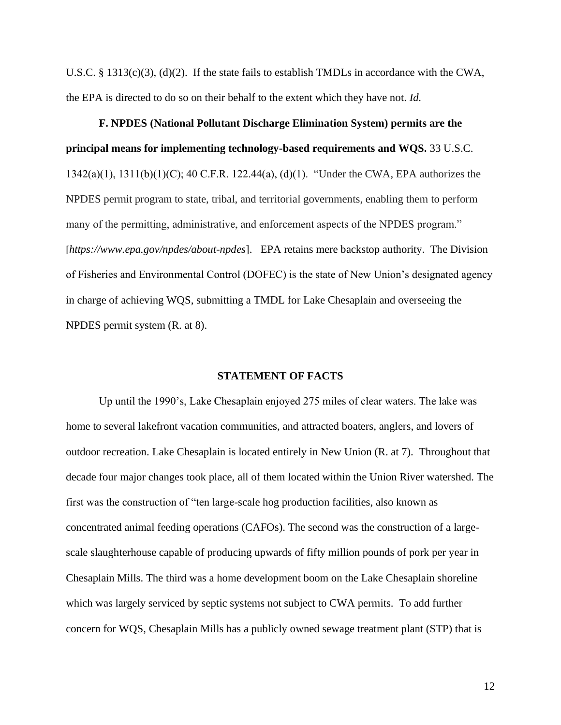U.S.C. § 1313(c)(3), (d)(2). If the state fails to establish TMDLs in accordance with the CWA, the EPA is directed to do so on their behalf to the extent which they have not. *Id.*

**F. NPDES (National Pollutant Discharge Elimination System) permits are the principal means for implementing technology-based requirements and WQS.** 33 U.S.C. 1342(a)(1), 1311(b)(1)(C); 40 C.F.R. 122.44(a), (d)(1). "Under the CWA, EPA authorizes the NPDES permit program to state, tribal, and territorial governments, enabling them to perform many of the permitting, administrative, and enforcement aspects of the NPDES program." [*https://www.epa.gov/npdes/about-npdes*]. EPA retains mere backstop authority. The Division of Fisheries and Environmental Control (DOFEC) is the state of New Union's designated agency in charge of achieving WQS, submitting a TMDL for Lake Chesaplain and overseeing the NPDES permit system (R. at 8).

#### **STATEMENT OF FACTS**

Up until the 1990's, Lake Chesaplain enjoyed 275 miles of clear waters. The lake was home to several lakefront vacation communities, and attracted boaters, anglers, and lovers of outdoor recreation. Lake Chesaplain is located entirely in New Union (R. at 7). Throughout that decade four major changes took place, all of them located within the Union River watershed. The first was the construction of "ten large-scale hog production facilities, also known as concentrated animal feeding operations (CAFOs). The second was the construction of a largescale slaughterhouse capable of producing upwards of fifty million pounds of pork per year in Chesaplain Mills. The third was a home development boom on the Lake Chesaplain shoreline which was largely serviced by septic systems not subject to CWA permits. To add further concern for WQS, Chesaplain Mills has a publicly owned sewage treatment plant (STP) that is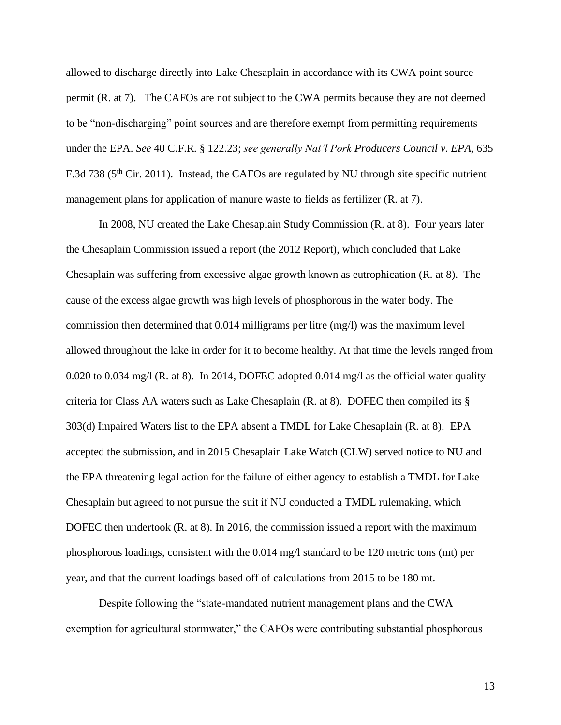allowed to discharge directly into Lake Chesaplain in accordance with its CWA point source permit (R. at 7). The CAFOs are not subject to the CWA permits because they are not deemed to be "non-discharging" point sources and are therefore exempt from permitting requirements under the EPA. *See* 40 C.F.R. § 122.23; *see generally Nat'l Pork Producers Council v. EPA,* 635 F.3d 738 (5<sup>th</sup> Cir. 2011). Instead, the CAFOs are regulated by NU through site specific nutrient management plans for application of manure waste to fields as fertilizer (R. at 7).

In 2008, NU created the Lake Chesaplain Study Commission (R. at 8). Four years later the Chesaplain Commission issued a report (the 2012 Report), which concluded that Lake Chesaplain was suffering from excessive algae growth known as eutrophication (R. at 8). The cause of the excess algae growth was high levels of phosphorous in the water body. The commission then determined that 0.014 milligrams per litre (mg/l) was the maximum level allowed throughout the lake in order for it to become healthy. At that time the levels ranged from 0.020 to 0.034 mg/l (R. at 8). In 2014, DOFEC adopted 0.014 mg/l as the official water quality criteria for Class AA waters such as Lake Chesaplain (R. at 8). DOFEC then compiled its § 303(d) Impaired Waters list to the EPA absent a TMDL for Lake Chesaplain (R. at 8). EPA accepted the submission, and in 2015 Chesaplain Lake Watch (CLW) served notice to NU and the EPA threatening legal action for the failure of either agency to establish a TMDL for Lake Chesaplain but agreed to not pursue the suit if NU conducted a TMDL rulemaking, which DOFEC then undertook (R. at 8). In 2016, the commission issued a report with the maximum phosphorous loadings, consistent with the 0.014 mg/l standard to be 120 metric tons (mt) per year, and that the current loadings based off of calculations from 2015 to be 180 mt.

Despite following the "state-mandated nutrient management plans and the CWA exemption for agricultural stormwater," the CAFOs were contributing substantial phosphorous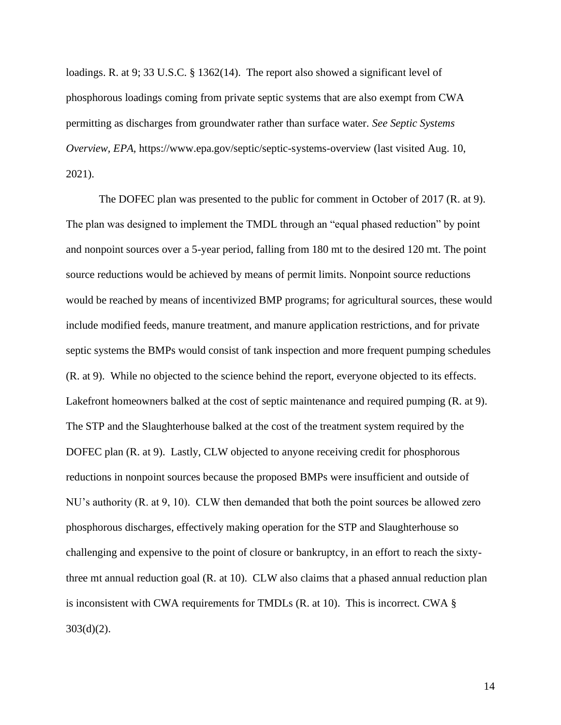loadings. R. at 9; 33 U.S.C. § 1362(14). The report also showed a significant level of phosphorous loadings coming from private septic systems that are also exempt from CWA permitting as discharges from groundwater rather than surface water. *See Septic Systems Overview, EPA,* https://www.epa.gov/septic/septic-systems-overview (last visited Aug. 10, 2021).

The DOFEC plan was presented to the public for comment in October of 2017 (R. at 9). The plan was designed to implement the TMDL through an "equal phased reduction" by point and nonpoint sources over a 5-year period, falling from 180 mt to the desired 120 mt. The point source reductions would be achieved by means of permit limits. Nonpoint source reductions would be reached by means of incentivized BMP programs; for agricultural sources, these would include modified feeds, manure treatment, and manure application restrictions, and for private septic systems the BMPs would consist of tank inspection and more frequent pumping schedules (R. at 9). While no objected to the science behind the report, everyone objected to its effects. Lakefront homeowners balked at the cost of septic maintenance and required pumping (R. at 9). The STP and the Slaughterhouse balked at the cost of the treatment system required by the DOFEC plan (R. at 9). Lastly, CLW objected to anyone receiving credit for phosphorous reductions in nonpoint sources because the proposed BMPs were insufficient and outside of NU's authority (R. at 9, 10). CLW then demanded that both the point sources be allowed zero phosphorous discharges, effectively making operation for the STP and Slaughterhouse so challenging and expensive to the point of closure or bankruptcy, in an effort to reach the sixtythree mt annual reduction goal (R. at 10). CLW also claims that a phased annual reduction plan is inconsistent with CWA requirements for TMDLs (R. at 10). This is incorrect. CWA § 303(d)(2).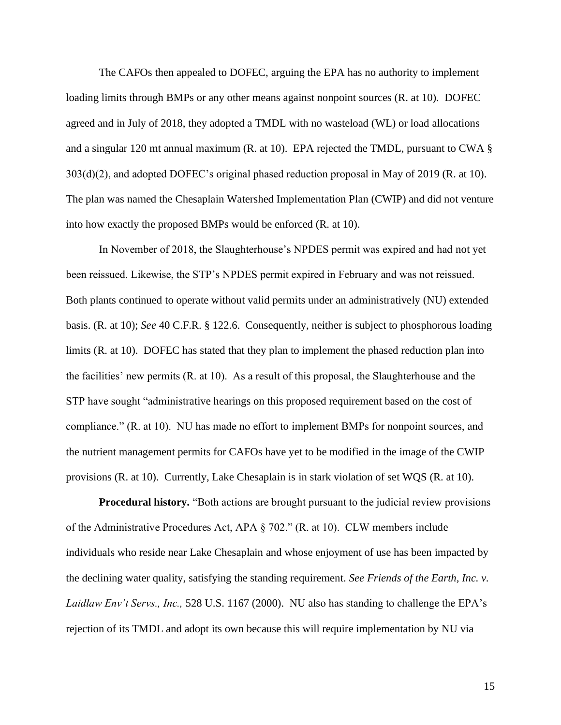The CAFOs then appealed to DOFEC, arguing the EPA has no authority to implement loading limits through BMPs or any other means against nonpoint sources (R. at 10). DOFEC agreed and in July of 2018, they adopted a TMDL with no wasteload (WL) or load allocations and a singular 120 mt annual maximum (R. at 10). EPA rejected the TMDL, pursuant to CWA § 303(d)(2), and adopted DOFEC's original phased reduction proposal in May of 2019 (R. at 10). The plan was named the Chesaplain Watershed Implementation Plan (CWIP) and did not venture into how exactly the proposed BMPs would be enforced (R. at 10).

In November of 2018, the Slaughterhouse's NPDES permit was expired and had not yet been reissued. Likewise, the STP's NPDES permit expired in February and was not reissued. Both plants continued to operate without valid permits under an administratively (NU) extended basis. (R. at 10); *See* 40 C.F.R. § 122.6. Consequently, neither is subject to phosphorous loading limits (R. at 10). DOFEC has stated that they plan to implement the phased reduction plan into the facilities' new permits (R. at 10). As a result of this proposal, the Slaughterhouse and the STP have sought "administrative hearings on this proposed requirement based on the cost of compliance." (R. at 10). NU has made no effort to implement BMPs for nonpoint sources, and the nutrient management permits for CAFOs have yet to be modified in the image of the CWIP provisions (R. at 10). Currently, Lake Chesaplain is in stark violation of set WQS (R. at 10).

**Procedural history.** "Both actions are brought pursuant to the judicial review provisions of the Administrative Procedures Act, APA § 702." (R. at 10). CLW members include individuals who reside near Lake Chesaplain and whose enjoyment of use has been impacted by the declining water quality, satisfying the standing requirement. *See Friends of the Earth, Inc. v. Laidlaw Env't Servs., Inc.,* 528 U.S. 1167 (2000). NU also has standing to challenge the EPA's rejection of its TMDL and adopt its own because this will require implementation by NU via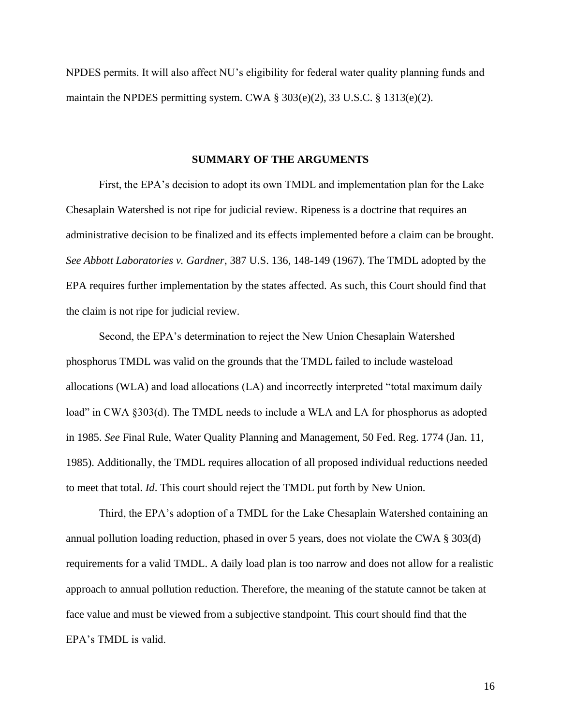NPDES permits. It will also affect NU's eligibility for federal water quality planning funds and maintain the NPDES permitting system. CWA § 303(e)(2), 33 U.S.C. § 1313(e)(2).

#### **SUMMARY OF THE ARGUMENTS**

First, the EPA's decision to adopt its own TMDL and implementation plan for the Lake Chesaplain Watershed is not ripe for judicial review. Ripeness is a doctrine that requires an administrative decision to be finalized and its effects implemented before a claim can be brought. *See Abbott Laboratories v. Gardner*, 387 U.S. 136, 148-149 (1967). The TMDL adopted by the EPA requires further implementation by the states affected. As such, this Court should find that the claim is not ripe for judicial review.

Second, the EPA's determination to reject the New Union Chesaplain Watershed phosphorus TMDL was valid on the grounds that the TMDL failed to include wasteload allocations (WLA) and load allocations (LA) and incorrectly interpreted "total maximum daily load" in CWA §303(d). The TMDL needs to include a WLA and LA for phosphorus as adopted in 1985. *See* Final Rule, Water Quality Planning and Management, 50 Fed. Reg. 1774 (Jan. 11, 1985). Additionally, the TMDL requires allocation of all proposed individual reductions needed to meet that total. *Id*. This court should reject the TMDL put forth by New Union.

Third, the EPA's adoption of a TMDL for the Lake Chesaplain Watershed containing an annual pollution loading reduction, phased in over 5 years, does not violate the CWA § 303(d) requirements for a valid TMDL. A daily load plan is too narrow and does not allow for a realistic approach to annual pollution reduction. Therefore, the meaning of the statute cannot be taken at face value and must be viewed from a subjective standpoint. This court should find that the EPA's TMDL is valid.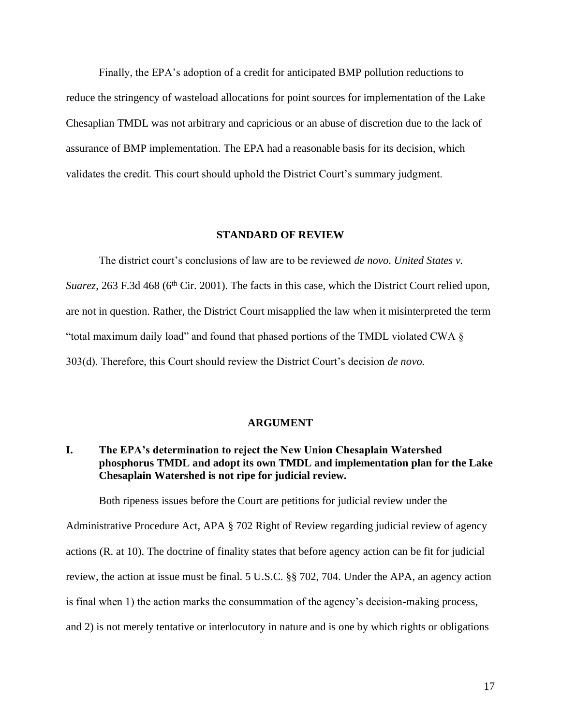Finally, the EPA's adoption of a credit for anticipated BMP pollution reductions to reduce the stringency of wasteload allocations for point sources for implementation of the Lake Chesaplian TMDL was not arbitrary and capricious or an abuse of discretion due to the lack of assurance of BMP implementation. The EPA had a reasonable basis for its decision, which validates the credit. This court should uphold the District Court's summary judgment.

#### **STANDARD OF REVIEW**

The district court's conclusions of law are to be reviewed *de novo*. *United States v. Suarez*, 263 F.3d 468 (6<sup>th</sup> Cir. 2001). The facts in this case, which the District Court relied upon, are not in question. Rather, the District Court misapplied the law when it misinterpreted the term "total maximum daily load" and found that phased portions of the TMDL violated CWA § 303(d). Therefore, this Court should review the District Court's decision *de novo.* 

#### **ARGUMENT**

## **I. The EPA's determination to reject the New Union Chesaplain Watershed phosphorus TMDL and adopt its own TMDL and implementation plan for the Lake Chesaplain Watershed is not ripe for judicial review.**

Both ripeness issues before the Court are petitions for judicial review under the

Administrative Procedure Act, APA § 702 Right of Review regarding judicial review of agency actions (R. at 10). The doctrine of finality states that before agency action can be fit for judicial review, the action at issue must be final. 5 U.S.C. §§ 702, 704. Under the APA, an agency action is final when 1) the action marks the consummation of the agency's decision-making process, and 2) is not merely tentative or interlocutory in nature and is one by which rights or obligations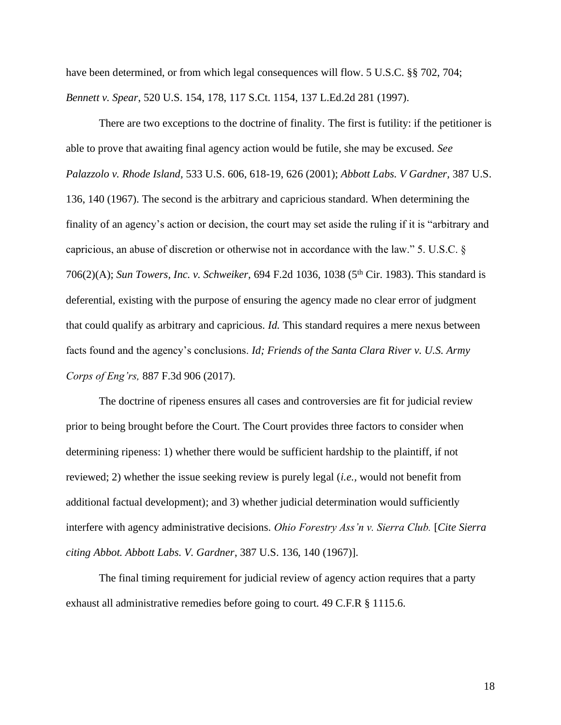have been determined, or from which legal consequences will flow. 5 U.S.C. §§ 702, 704; *Bennett v. Spear*, 520 U.S. 154, 178, 117 S.Ct. 1154, 137 L.Ed.2d 281 (1997).

There are two exceptions to the doctrine of finality. The first is futility: if the petitioner is able to prove that awaiting final agency action would be futile, she may be excused. *See Palazzolo v. Rhode Island,* 533 U.S. 606, 618-19, 626 (2001); *Abbott Labs. V Gardner,* 387 U.S. 136, 140 (1967). The second is the arbitrary and capricious standard. When determining the finality of an agency's action or decision, the court may set aside the ruling if it is "arbitrary and capricious, an abuse of discretion or otherwise not in accordance with the law." 5. U.S.C. § 706(2)(A); *Sun Towers, Inc. v. Schweiker,* 694 F.2d 1036, 1038 (5th Cir. 1983). This standard is deferential, existing with the purpose of ensuring the agency made no clear error of judgment that could qualify as arbitrary and capricious. *Id.* This standard requires a mere nexus between facts found and the agency's conclusions. *Id; Friends of the Santa Clara River v. U.S. Army Corps of Eng'rs,* 887 F.3d 906 (2017).

The doctrine of ripeness ensures all cases and controversies are fit for judicial review prior to being brought before the Court. The Court provides three factors to consider when determining ripeness: 1) whether there would be sufficient hardship to the plaintiff, if not reviewed; 2) whether the issue seeking review is purely legal (*i.e.,* would not benefit from additional factual development); and 3) whether judicial determination would sufficiently interfere with agency administrative decisions. *Ohio Forestry Ass'n v. Sierra Club.* [*Cite Sierra citing Abbot. Abbott Labs. V. Gardner*, 387 U.S. 136, 140 (1967)].

The final timing requirement for judicial review of agency action requires that a party exhaust all administrative remedies before going to court. 49 C.F.R § 1115.6.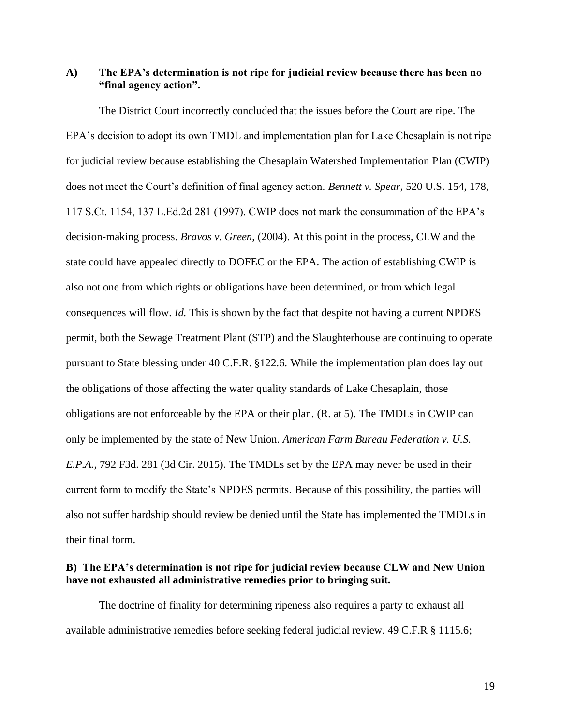### **A) The EPA's determination is not ripe for judicial review because there has been no "final agency action".**

The District Court incorrectly concluded that the issues before the Court are ripe. The EPA's decision to adopt its own TMDL and implementation plan for Lake Chesaplain is not ripe for judicial review because establishing the Chesaplain Watershed Implementation Plan (CWIP) does not meet the Court's definition of final agency action. *Bennett v. Spear,* 520 U.S. 154, 178, 117 S.Ct. 1154, 137 L.Ed.2d 281 (1997). CWIP does not mark the consummation of the EPA's decision-making process. *Bravos v. Green,* (2004). At this point in the process, CLW and the state could have appealed directly to DOFEC or the EPA. The action of establishing CWIP is also not one from which rights or obligations have been determined, or from which legal consequences will flow. *Id.* This is shown by the fact that despite not having a current NPDES permit, both the Sewage Treatment Plant (STP) and the Slaughterhouse are continuing to operate pursuant to State blessing under 40 C.F.R. §122.6. While the implementation plan does lay out the obligations of those affecting the water quality standards of Lake Chesaplain, those obligations are not enforceable by the EPA or their plan. (R. at 5). The TMDLs in CWIP can only be implemented by the state of New Union. *American Farm Bureau Federation v. U.S. E.P.A.,* 792 F3d. 281 (3d Cir. 2015). The TMDLs set by the EPA may never be used in their current form to modify the State's NPDES permits. Because of this possibility, the parties will also not suffer hardship should review be denied until the State has implemented the TMDLs in their final form.

### **B) The EPA's determination is not ripe for judicial review because CLW and New Union have not exhausted all administrative remedies prior to bringing suit.**

The doctrine of finality for determining ripeness also requires a party to exhaust all available administrative remedies before seeking federal judicial review. 49 C.F.R § 1115.6;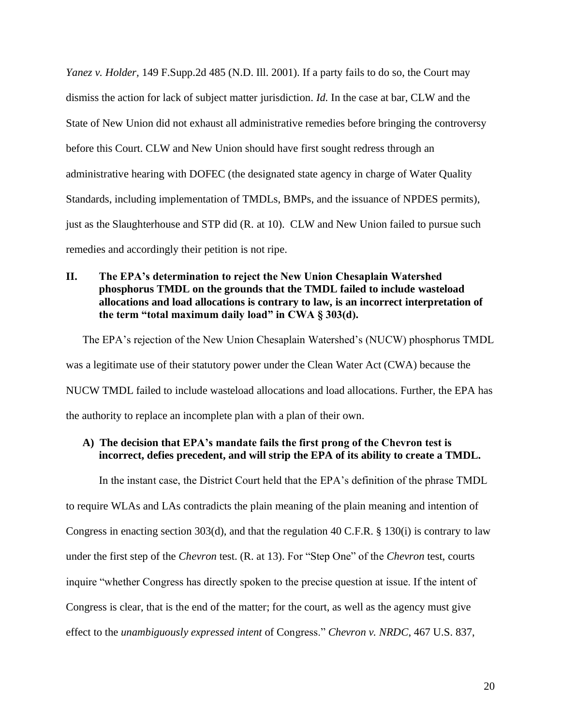*Yanez v. Holder,* 149 F.Supp.2d 485 (N.D. Ill. 2001). If a party fails to do so, the Court may dismiss the action for lack of subject matter jurisdiction. *Id.* In the case at bar, CLW and the State of New Union did not exhaust all administrative remedies before bringing the controversy before this Court. CLW and New Union should have first sought redress through an administrative hearing with DOFEC (the designated state agency in charge of Water Quality Standards, including implementation of TMDLs, BMPs, and the issuance of NPDES permits), just as the Slaughterhouse and STP did (R. at 10). CLW and New Union failed to pursue such remedies and accordingly their petition is not ripe.

## **II. The EPA's determination to reject the New Union Chesaplain Watershed phosphorus TMDL on the grounds that the TMDL failed to include wasteload allocations and load allocations is contrary to law, is an incorrect interpretation of the term "total maximum daily load" in CWA § 303(d).**

The EPA's rejection of the New Union Chesaplain Watershed's (NUCW) phosphorus TMDL was a legitimate use of their statutory power under the Clean Water Act (CWA) because the NUCW TMDL failed to include wasteload allocations and load allocations. Further, the EPA has the authority to replace an incomplete plan with a plan of their own.

## **A) The decision that EPA's mandate fails the first prong of the Chevron test is incorrect, defies precedent, and will strip the EPA of its ability to create a TMDL.**

In the instant case, the District Court held that the EPA's definition of the phrase TMDL

to require WLAs and LAs contradicts the plain meaning of the plain meaning and intention of Congress in enacting section 303(d), and that the regulation 40 C.F.R. § 130(i) is contrary to law under the first step of the *Chevron* test. (R. at 13). For "Step One" of the *Chevron* test, courts inquire "whether Congress has directly spoken to the precise question at issue. If the intent of Congress is clear, that is the end of the matter; for the court, as well as the agency must give effect to the *unambiguously expressed intent* of Congress." *Chevron v. NRDC*, 467 U.S. 837,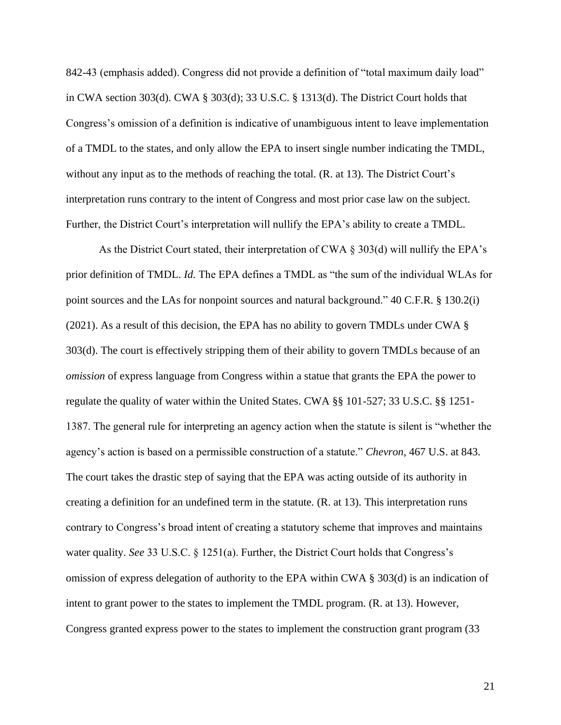842-43 (emphasis added). Congress did not provide a definition of "total maximum daily load" in CWA section 303(d). CWA § 303(d); 33 U.S.C. § 1313(d). The District Court holds that Congress's omission of a definition is indicative of unambiguous intent to leave implementation of a TMDL to the states, and only allow the EPA to insert single number indicating the TMDL, without any input as to the methods of reaching the total. (R. at 13). The District Court's interpretation runs contrary to the intent of Congress and most prior case law on the subject. Further, the District Court's interpretation will nullify the EPA's ability to create a TMDL.

As the District Court stated, their interpretation of CWA § 303(d) will nullify the EPA's prior definition of TMDL. *Id.* The EPA defines a TMDL as "the sum of the individual WLAs for point sources and the LAs for nonpoint sources and natural background." 40 C.F.R. § 130.2(i) (2021). As a result of this decision, the EPA has no ability to govern TMDLs under CWA § 303(d). The court is effectively stripping them of their ability to govern TMDLs because of an *omission* of express language from Congress within a statue that grants the EPA the power to regulate the quality of water within the United States. CWA §§ 101-527; 33 U.S.C. §§ 1251- 1387. The general rule for interpreting an agency action when the statute is silent is "whether the agency's action is based on a permissible construction of a statute." *Chevron*, 467 U.S. at 843. The court takes the drastic step of saying that the EPA was acting outside of its authority in creating a definition for an undefined term in the statute. (R. at 13). This interpretation runs contrary to Congress's broad intent of creating a statutory scheme that improves and maintains water quality. *See* 33 U.S.C. § 1251(a). Further, the District Court holds that Congress's omission of express delegation of authority to the EPA within CWA § 303(d) is an indication of intent to grant power to the states to implement the TMDL program. (R. at 13). However, Congress granted express power to the states to implement the construction grant program (33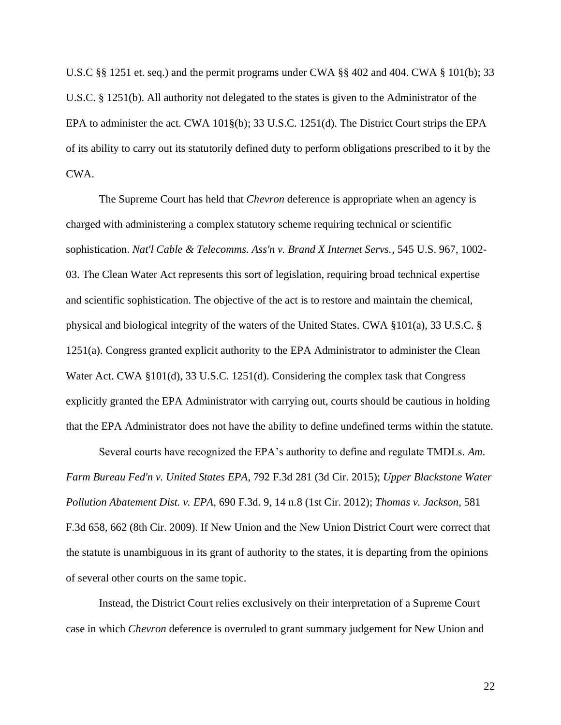U.S.C §§ 1251 et. seq.) and the permit programs under CWA §§ 402 and 404. CWA § 101(b); 33 U.S.C. § 1251(b). All authority not delegated to the states is given to the Administrator of the EPA to administer the act. CWA 101§(b); 33 U.S.C. 1251(d). The District Court strips the EPA of its ability to carry out its statutorily defined duty to perform obligations prescribed to it by the CWA.

The Supreme Court has held that *Chevron* deference is appropriate when an agency is charged with administering a complex statutory scheme requiring technical or scientific sophistication. *Nat'l Cable & Telecomms. Ass'n v. Brand X Internet Servs.*, 545 U.S. 967, 1002- 03. The Clean Water Act represents this sort of legislation, requiring broad technical expertise and scientific sophistication. The objective of the act is to restore and maintain the chemical, physical and biological integrity of the waters of the United States. CWA §101(a), 33 U.S.C. § 1251(a). Congress granted explicit authority to the EPA Administrator to administer the Clean Water Act. CWA §101(d), 33 U.S.C. 1251(d). Considering the complex task that Congress explicitly granted the EPA Administrator with carrying out, courts should be cautious in holding that the EPA Administrator does not have the ability to define undefined terms within the statute.

Several courts have recognized the EPA's authority to define and regulate TMDLs. *Am. Farm Bureau Fed'n v. United States EPA*, 792 F.3d 281 (3d Cir. 2015); *Upper Blackstone Water Pollution Abatement Dist. v. EPA*, 690 F.3d. 9, 14 n.8 (1st Cir. 2012); *Thomas v. Jackson*, 581 F.3d 658, 662 (8th Cir. 2009). If New Union and the New Union District Court were correct that the statute is unambiguous in its grant of authority to the states, it is departing from the opinions of several other courts on the same topic.

Instead, the District Court relies exclusively on their interpretation of a Supreme Court case in which *Chevron* deference is overruled to grant summary judgement for New Union and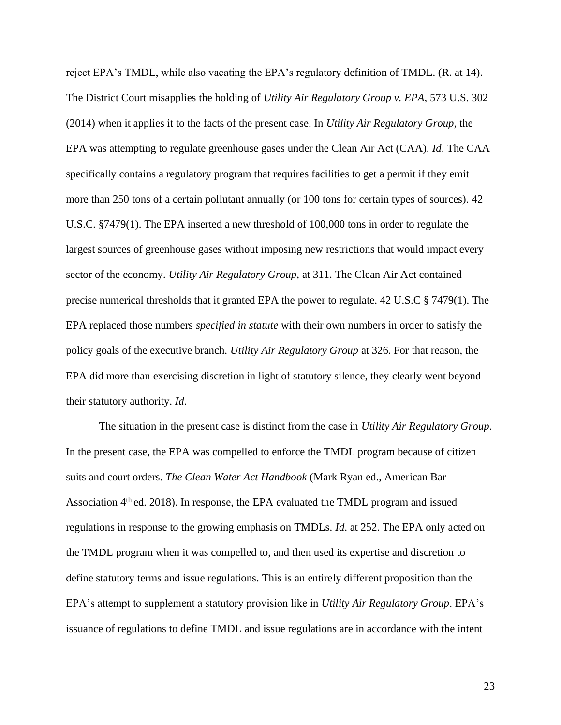reject EPA's TMDL, while also vacating the EPA's regulatory definition of TMDL. (R. at 14). The District Court misapplies the holding of *Utility Air Regulatory Group v. EPA*, 573 U.S. 302 (2014) when it applies it to the facts of the present case. In *Utility Air Regulatory Group*, the EPA was attempting to regulate greenhouse gases under the Clean Air Act (CAA). *Id*. The CAA specifically contains a regulatory program that requires facilities to get a permit if they emit more than 250 tons of a certain pollutant annually (or 100 tons for certain types of sources). 42 U.S.C. §7479(1). The EPA inserted a new threshold of 100,000 tons in order to regulate the largest sources of greenhouse gases without imposing new restrictions that would impact every sector of the economy. *Utility Air Regulatory Group*, at 311. The Clean Air Act contained precise numerical thresholds that it granted EPA the power to regulate. 42 U.S.C § 7479(1). The EPA replaced those numbers *specified in statute* with their own numbers in order to satisfy the policy goals of the executive branch. *Utility Air Regulatory Group* at 326. For that reason, the EPA did more than exercising discretion in light of statutory silence, they clearly went beyond their statutory authority. *Id*.

The situation in the present case is distinct from the case in *Utility Air Regulatory Group*. In the present case, the EPA was compelled to enforce the TMDL program because of citizen suits and court orders. *The Clean Water Act Handbook* (Mark Ryan ed., American Bar Association  $4<sup>th</sup>$  ed. 2018). In response, the EPA evaluated the TMDL program and issued regulations in response to the growing emphasis on TMDLs. *Id*. at 252. The EPA only acted on the TMDL program when it was compelled to, and then used its expertise and discretion to define statutory terms and issue regulations. This is an entirely different proposition than the EPA's attempt to supplement a statutory provision like in *Utility Air Regulatory Group*. EPA's issuance of regulations to define TMDL and issue regulations are in accordance with the intent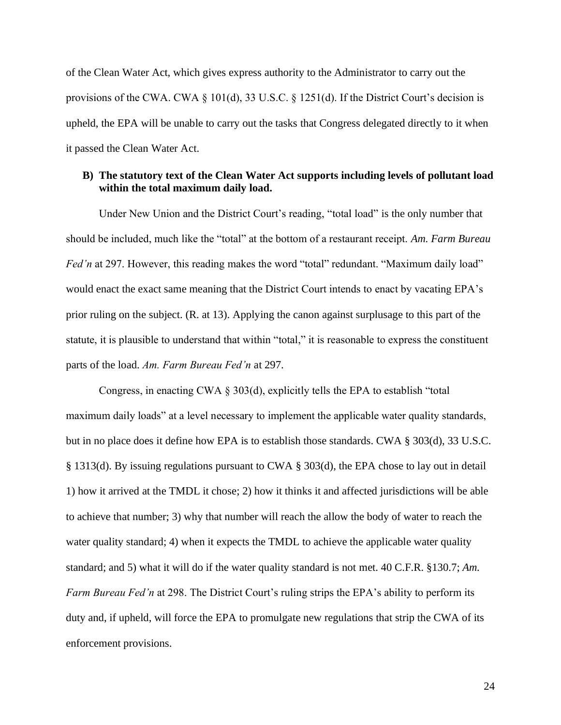of the Clean Water Act, which gives express authority to the Administrator to carry out the provisions of the CWA. CWA § 101(d), 33 U.S.C. § 1251(d). If the District Court's decision is upheld, the EPA will be unable to carry out the tasks that Congress delegated directly to it when it passed the Clean Water Act.

### **B) The statutory text of the Clean Water Act supports including levels of pollutant load within the total maximum daily load.**

Under New Union and the District Court's reading, "total load" is the only number that should be included, much like the "total" at the bottom of a restaurant receipt. *Am. Farm Bureau Fed'n* at 297. However, this reading makes the word "total" redundant. "Maximum daily load" would enact the exact same meaning that the District Court intends to enact by vacating EPA's prior ruling on the subject. (R. at 13). Applying the canon against surplusage to this part of the statute, it is plausible to understand that within "total," it is reasonable to express the constituent parts of the load. *Am. Farm Bureau Fed'n* at 297.

Congress, in enacting CWA § 303(d), explicitly tells the EPA to establish "total maximum daily loads" at a level necessary to implement the applicable water quality standards, but in no place does it define how EPA is to establish those standards. CWA § 303(d), 33 U.S.C. § 1313(d). By issuing regulations pursuant to CWA § 303(d), the EPA chose to lay out in detail 1) how it arrived at the TMDL it chose; 2) how it thinks it and affected jurisdictions will be able to achieve that number; 3) why that number will reach the allow the body of water to reach the water quality standard; 4) when it expects the TMDL to achieve the applicable water quality standard; and 5) what it will do if the water quality standard is not met. 40 C.F.R. §130.7; *Am. Farm Bureau Fed'n* at 298. The District Court's ruling strips the EPA's ability to perform its duty and, if upheld, will force the EPA to promulgate new regulations that strip the CWA of its enforcement provisions.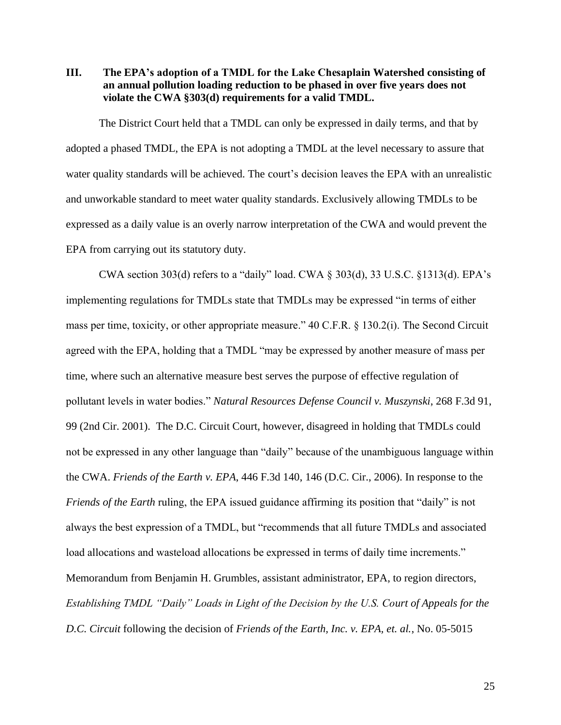**III. The EPA's adoption of a TMDL for the Lake Chesaplain Watershed consisting of an annual pollution loading reduction to be phased in over five years does not violate the CWA §303(d) requirements for a valid TMDL.**

The District Court held that a TMDL can only be expressed in daily terms, and that by adopted a phased TMDL, the EPA is not adopting a TMDL at the level necessary to assure that water quality standards will be achieved. The court's decision leaves the EPA with an unrealistic and unworkable standard to meet water quality standards. Exclusively allowing TMDLs to be expressed as a daily value is an overly narrow interpretation of the CWA and would prevent the EPA from carrying out its statutory duty.

CWA section 303(d) refers to a "daily" load. CWA § 303(d), 33 U.S.C. §1313(d). EPA's implementing regulations for TMDLs state that TMDLs may be expressed "in terms of either mass per time, toxicity, or other appropriate measure." 40 C.F.R. § 130.2(i). The Second Circuit agreed with the EPA, holding that a TMDL "may be expressed by another measure of mass per time, where such an alternative measure best serves the purpose of effective regulation of pollutant levels in water bodies." *Natural Resources Defense Council v. Muszynski*, 268 F.3d 91, 99 (2nd Cir. 2001). The D.C. Circuit Court, however, disagreed in holding that TMDLs could not be expressed in any other language than "daily" because of the unambiguous language within the CWA. *Friends of the Earth v. EPA*, 446 F.3d 140, 146 (D.C. Cir., 2006). In response to the *Friends of the Earth* ruling, the EPA issued guidance affirming its position that "daily" is not always the best expression of a TMDL, but "recommends that all future TMDLs and associated load allocations and wasteload allocations be expressed in terms of daily time increments." Memorandum from Benjamin H. Grumbles, assistant administrator, EPA, to region directors, *Establishing TMDL "Daily" Loads in Light of the Decision by the U.S. Court of Appeals for the D.C. Circuit* following the decision of *Friends of the Earth, Inc. v. EPA, et. al.*, No. 05-5015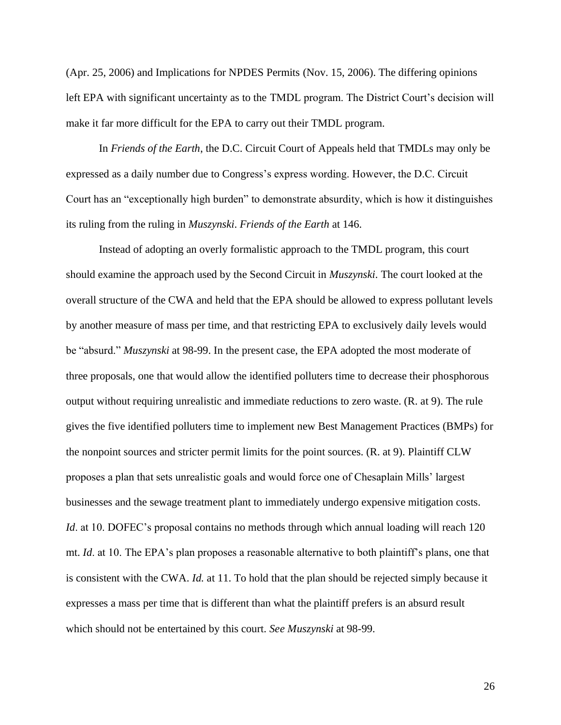(Apr. 25, 2006) and Implications for NPDES Permits (Nov. 15, 2006). The differing opinions left EPA with significant uncertainty as to the TMDL program. The District Court's decision will make it far more difficult for the EPA to carry out their TMDL program.

In *Friends of the Earth*, the D.C. Circuit Court of Appeals held that TMDLs may only be expressed as a daily number due to Congress's express wording. However, the D.C. Circuit Court has an "exceptionally high burden" to demonstrate absurdity, which is how it distinguishes its ruling from the ruling in *Muszynski*. *Friends of the Earth* at 146.

Instead of adopting an overly formalistic approach to the TMDL program, this court should examine the approach used by the Second Circuit in *Muszynski*. The court looked at the overall structure of the CWA and held that the EPA should be allowed to express pollutant levels by another measure of mass per time, and that restricting EPA to exclusively daily levels would be "absurd." *Muszynski* at 98-99. In the present case, the EPA adopted the most moderate of three proposals, one that would allow the identified polluters time to decrease their phosphorous output without requiring unrealistic and immediate reductions to zero waste. (R. at 9). The rule gives the five identified polluters time to implement new Best Management Practices (BMPs) for the nonpoint sources and stricter permit limits for the point sources. (R. at 9). Plaintiff CLW proposes a plan that sets unrealistic goals and would force one of Chesaplain Mills' largest businesses and the sewage treatment plant to immediately undergo expensive mitigation costs. *Id.* at 10. DOFEC's proposal contains no methods through which annual loading will reach 120 mt. *Id*. at 10. The EPA's plan proposes a reasonable alternative to both plaintiff's plans, one that is consistent with the CWA. *Id.* at 11. To hold that the plan should be rejected simply because it expresses a mass per time that is different than what the plaintiff prefers is an absurd result which should not be entertained by this court. *See Muszynski* at 98-99.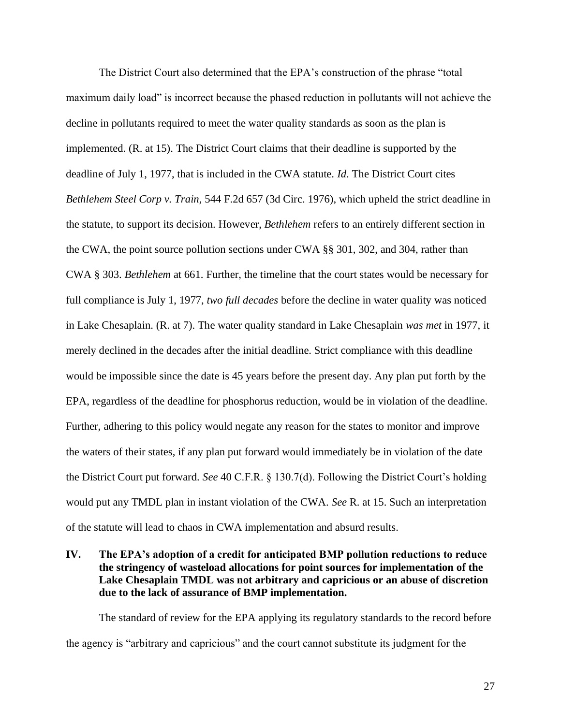The District Court also determined that the EPA's construction of the phrase "total maximum daily load" is incorrect because the phased reduction in pollutants will not achieve the decline in pollutants required to meet the water quality standards as soon as the plan is implemented. (R. at 15). The District Court claims that their deadline is supported by the deadline of July 1, 1977, that is included in the CWA statute. *Id*. The District Court cites *Bethlehem Steel Corp v. Train,* 544 F.2d 657 (3d Circ. 1976), which upheld the strict deadline in the statute, to support its decision. However, *Bethlehem* refers to an entirely different section in the CWA, the point source pollution sections under CWA §§ 301, 302, and 304, rather than CWA § 303. *Bethlehem* at 661. Further, the timeline that the court states would be necessary for full compliance is July 1, 1977, *two full decades* before the decline in water quality was noticed in Lake Chesaplain. (R. at 7). The water quality standard in Lake Chesaplain *was met* in 1977, it merely declined in the decades after the initial deadline. Strict compliance with this deadline would be impossible since the date is 45 years before the present day. Any plan put forth by the EPA, regardless of the deadline for phosphorus reduction, would be in violation of the deadline. Further, adhering to this policy would negate any reason for the states to monitor and improve the waters of their states, if any plan put forward would immediately be in violation of the date the District Court put forward. *See* 40 C.F.R. § 130.7(d). Following the District Court's holding would put any TMDL plan in instant violation of the CWA. *See* R. at 15. Such an interpretation of the statute will lead to chaos in CWA implementation and absurd results.

## **IV. The EPA's adoption of a credit for anticipated BMP pollution reductions to reduce the stringency of wasteload allocations for point sources for implementation of the Lake Chesaplain TMDL was not arbitrary and capricious or an abuse of discretion due to the lack of assurance of BMP implementation.**

The standard of review for the EPA applying its regulatory standards to the record before the agency is "arbitrary and capricious" and the court cannot substitute its judgment for the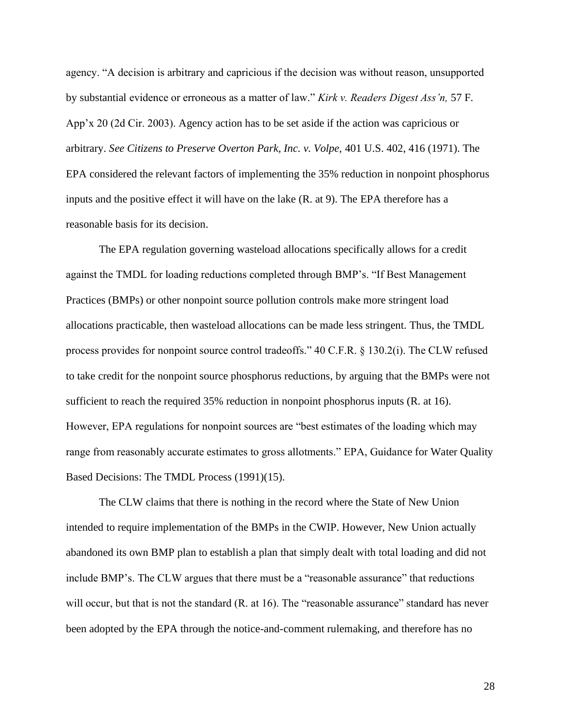agency. "A decision is arbitrary and capricious if the decision was without reason, unsupported by substantial evidence or erroneous as a matter of law." *Kirk v. Readers Digest Ass'n,* 57 F. App'x 20 (2d Cir. 2003). Agency action has to be set aside if the action was capricious or arbitrary. *See Citizens to Preserve Overton Park, Inc. v. Volpe,* 401 U.S. 402, 416 (1971). The EPA considered the relevant factors of implementing the 35% reduction in nonpoint phosphorus inputs and the positive effect it will have on the lake (R. at 9). The EPA therefore has a reasonable basis for its decision.

The EPA regulation governing wasteload allocations specifically allows for a credit against the TMDL for loading reductions completed through BMP's. "If Best Management Practices (BMPs) or other nonpoint source pollution controls make more stringent load allocations practicable, then wasteload allocations can be made less stringent. Thus, the TMDL process provides for nonpoint source control tradeoffs." 40 C.F.R. § 130.2(i). The CLW refused to take credit for the nonpoint source phosphorus reductions, by arguing that the BMPs were not sufficient to reach the required 35% reduction in nonpoint phosphorus inputs (R. at 16). However, EPA regulations for nonpoint sources are "best estimates of the loading which may range from reasonably accurate estimates to gross allotments." EPA, Guidance for Water Quality Based Decisions: The TMDL Process (1991)(15).

The CLW claims that there is nothing in the record where the State of New Union intended to require implementation of the BMPs in the CWIP. However, New Union actually abandoned its own BMP plan to establish a plan that simply dealt with total loading and did not include BMP's. The CLW argues that there must be a "reasonable assurance" that reductions will occur, but that is not the standard (R. at 16). The "reasonable assurance" standard has never been adopted by the EPA through the notice-and-comment rulemaking, and therefore has no